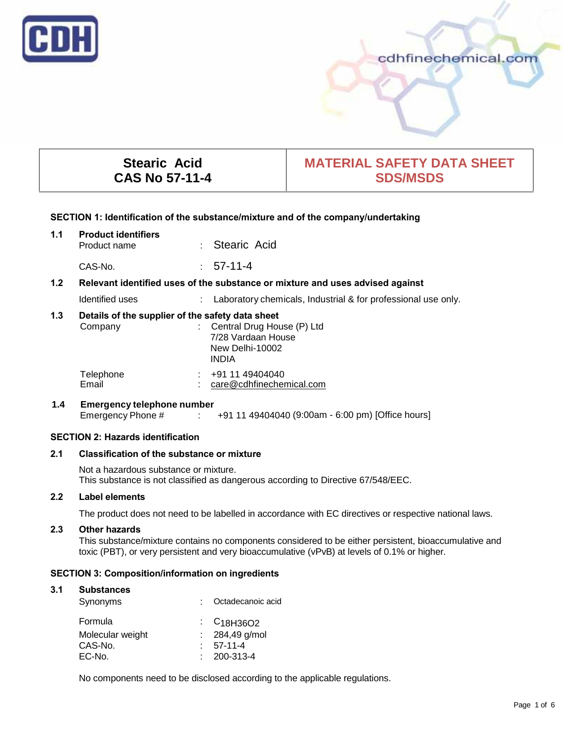

# cdhfinechemical.com

# **Stearic Acid CAS No 57-11-4**

# **MATERIAL SAFETY DATA SHEET SDS/MSDS**

professional use only.

#### **SECTION 1: Identification of the substance/mixture and of the company/undertaking**

| 1.1 | <b>Product identifiers</b><br>Product name                                    |  | : Stearic Acid                                                                        |  |
|-----|-------------------------------------------------------------------------------|--|---------------------------------------------------------------------------------------|--|
|     | CAS-No.                                                                       |  | $: 57-11-4$                                                                           |  |
| 1.2 | Relevant identified uses of the substance or mixture and uses advised against |  |                                                                                       |  |
|     | Identified uses                                                               |  | Laboratory chemicals, Industrial & for professional u                                 |  |
| 1.3 | Details of the supplier of the safety data sheet<br>Company                   |  | : Central Drug House (P) Ltd<br>7/28 Vardaan House<br>New Delhi-10002<br><b>INDIA</b> |  |
|     | Telephone<br>Email                                                            |  | +91 11 49404040<br>care@cdhfinechemical.com                                           |  |

# **1.4 Emergency telephone number** Emergency Phone # : +91 11 49404040 (9:00am - 6:00 pm) [Office hours]

care@cdhfinechemical.com

#### **SECTION 2: Hazards identification**

### **2.1 Classification of the substance or mixture**

Not a hazardous substance or mixture. This substance is not classified as dangerous according to Directive 67/548/EEC.

#### **2.2 Label elements**

The product does not need to be labelled in accordance with EC directives or respective national laws.

# **2.3 Other hazards**

This substance/mixture contains no components considered to be either persistent, bioaccumulative and toxic (PBT), or very persistent and very bioaccumulative (vPvB) at levels of 0.1% or higher.

# **SECTION 3: Composition/information on ingredients**

#### **3.1 Substances**

| Octadecanoic acid                                            |
|--------------------------------------------------------------|
| $\frac{1}{2}$ C <sub>18</sub> H <sub>36</sub> O <sub>2</sub> |
| $: 284,49$ g/mol                                             |
| $: 57-11-4$                                                  |
| $: 200 - 313 - 4$                                            |
|                                                              |

No components need to be disclosed according to the applicable regulations.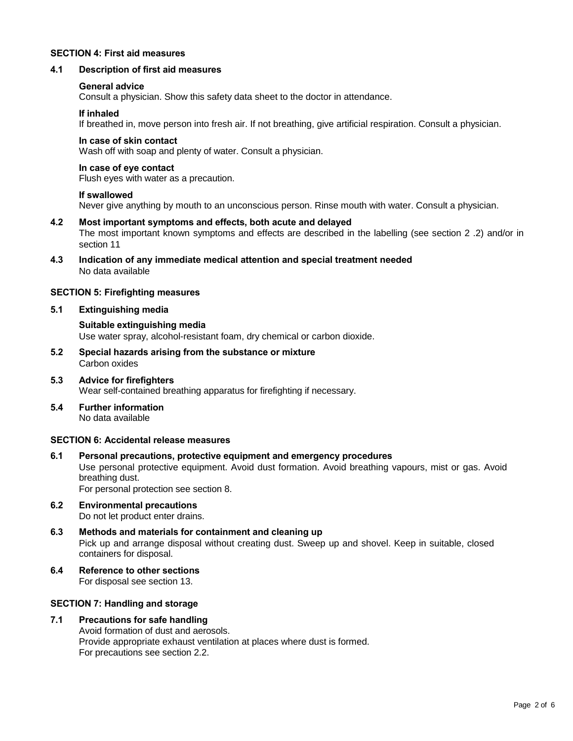### **SECTION 4: First aid measures**

#### **4.1 Description of first aid measures**

#### **General advice**

Consult a physician. Show this safety data sheet to the doctor in attendance.

#### **If inhaled**

If breathed in, move person into fresh air. If not breathing, give artificial respiration. Consult a physician.

#### **In case of skin contact**

Wash off with soap and plenty of water. Consult a physician.

#### **In case of eye contact**

Flush eyes with water as a precaution.

#### **If swallowed**

Never give anything by mouth to an unconscious person. Rinse mouth with water. Consult a physician.

# **4.2 Most important symptoms and effects, both acute and delayed** The most important known symptoms and effects are described in the labelling (see section 2 .2) and/or in section 11

**4.3 Indication of any immediate medical attention and special treatment needed** No data available

#### **SECTION 5: Firefighting measures**

# **5.1 Extinguishing media**

# **Suitable extinguishing media**

Use water spray, alcohol-resistant foam, dry chemical or carbon dioxide.

**5.2 Special hazards arising from the substance or mixture** Carbon oxides

#### **5.3 Advice for firefighters** Wear self-contained breathing apparatus for firefighting if necessary.

**5.4 Further information** No data available

#### **SECTION 6: Accidental release measures**

#### **6.1 Personal precautions, protective equipment and emergency procedures**

Use personal protective equipment. Avoid dust formation. Avoid breathing vapours, mist or gas. Avoid breathing dust.

For personal protection see section 8.

#### **6.2 Environmental precautions** Do not let product enter drains.

# **6.3 Methods and materials for containment and cleaning up** Pick up and arrange disposal without creating dust. Sweep up and shovel. Keep in suitable, closed containers for disposal.

**6.4 Reference to other sections** For disposal see section 13.

### **SECTION 7: Handling and storage**

# **7.1 Precautions for safe handling**

Avoid formation of dust and aerosols. Provide appropriate exhaust ventilation at places where dust is formed. For precautions see section 2.2.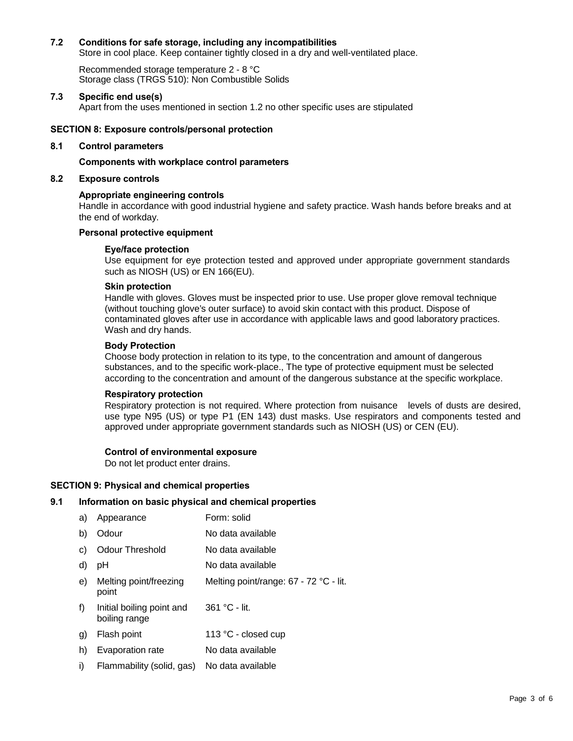# **7.2 Conditions for safe storage, including any incompatibilities**

Store in cool place. Keep container tightly closed in a dry and well-ventilated place.

Recommended storage temperature 2 - 8 °C Storage class (TRGS 510): Non Combustible Solids

### **7.3 Specific end use(s)**

Apart from the uses mentioned in section 1.2 no other specific uses are stipulated

#### **SECTION 8: Exposure controls/personal protection**

#### **8.1 Control parameters**

**Components with workplace control parameters**

#### **8.2 Exposure controls**

### **Appropriate engineering controls**

Handle in accordance with good industrial hygiene and safety practice. Wash hands before breaks and at the end of workday.

#### **Personal protective equipment**

#### **Eye/face protection**

Use equipment for eye protection tested and approved under appropriate government standards such as NIOSH (US) or EN 166(EU).

### **Skin protection**

Handle with gloves. Gloves must be inspected prior to use. Use proper glove removal technique (without touching glove's outer surface) to avoid skin contact with this product. Dispose of contaminated gloves after use in accordance with applicable laws and good laboratory practices. Wash and dry hands.

#### **Body Protection**

Choose body protection in relation to its type, to the concentration and amount of dangerous substances, and to the specific work-place., The type of protective equipment must be selected according to the concentration and amount of the dangerous substance at the specific workplace.

#### **Respiratory protection**

Respiratory protection is not required. Where protection from nuisance levels of dusts are desired, use type N95 (US) or type P1 (EN 143) dust masks. Use respirators and components tested and approved under appropriate government standards such as NIOSH (US) or CEN (EU).

#### **Control of environmental exposure**

Do not let product enter drains.

# **SECTION 9: Physical and chemical properties**

# **9.1 Information on basic physical and chemical properties**

| a) | Appearance                                 | Form: solid                            |
|----|--------------------------------------------|----------------------------------------|
| b) | Odour                                      | No data available                      |
| C) | <b>Odour Threshold</b>                     | No data available                      |
| d) | pH                                         | No data available                      |
| e) | Melting point/freezing<br>point            | Melting point/range: 67 - 72 °C - lit. |
| f) | Initial boiling point and<br>boiling range | $361 °C - lit$                         |
| g) | Flash point                                | 113 °C - closed cup                    |
| h) | Evaporation rate                           | No data available                      |
| i) | Flammability (solid, gas)                  | No data available                      |
|    |                                            |                                        |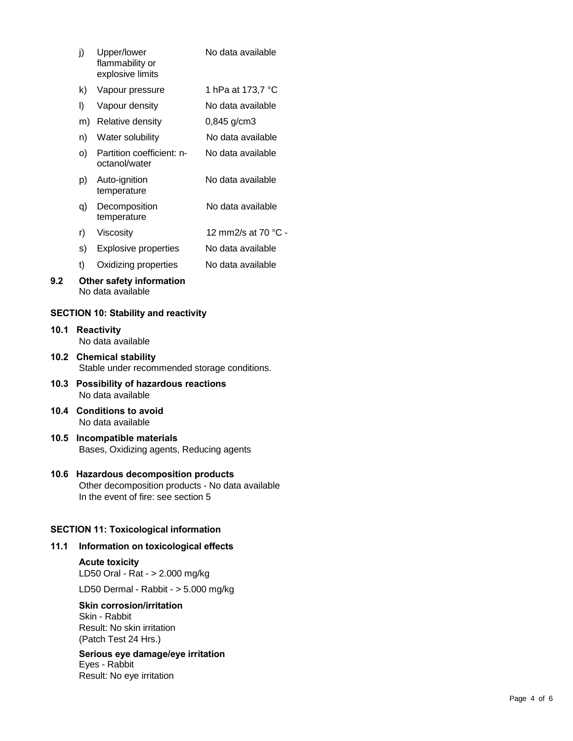| j) | Upper/lower<br>flammability or<br>explosive limits | No data available   |
|----|----------------------------------------------------|---------------------|
| k) | Vapour pressure                                    | 1 hPa at 173,7 °C   |
| I) | Vapour density                                     | No data available   |
| m) | Relative density                                   | $0,845$ g/cm3       |
| n) | Water solubility                                   | No data available   |
| O) | Partition coefficient: n-<br>octanol/water         | No data available   |
| p) | Auto-ignition<br>temperature                       | No data available   |
| q) | Decomposition<br>temperature                       | No data available   |
| r) | Viscosity                                          | 12 mm2/s at 70 °C - |
| S) | Explosive properties                               | No data available   |
| t) | Oxidizing properties                               | No data available   |

# **9.2 Other safety information** No data available

# **SECTION 10: Stability and reactivity**

- **10.1 Reactivity** No data available
- **10.2 Chemical stability** Stable under recommended storage conditions.
- **10.3 Possibility of hazardous reactions** No data available
- **10.4 Conditions to avoid** No data available
- **10.5 Incompatible materials** Bases, Oxidizing agents, Reducing agents

# **10.6 Hazardous decomposition products** Other decomposition products - No data available In the event of fire: see section 5

# **SECTION 11: Toxicological information**

**11.1 Information on toxicological effects**

# **Acute toxicity** LD50 Oral - Rat - > 2.000 mg/kg

LD50 Dermal - Rabbit - > 5.000 mg/kg

#### **Skin corrosion/irritation** Skin - Rabbit

Result: No skin irritation (Patch Test 24 Hrs.)

#### **Serious eye damage/eye irritation** Eyes - Rabbit

Result: No eye irritation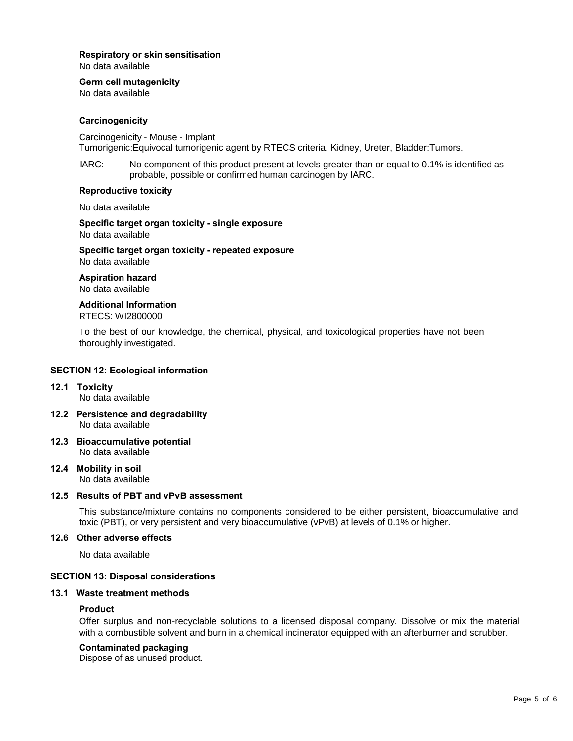# **Respiratory or skin sensitisation**

No data available

**Germ cell mutagenicity**

No data available

# **Carcinogenicity**

Carcinogenicity - Mouse - Implant Tumorigenic:Equivocal tumorigenic agent by RTECS criteria. Kidney, Ureter, Bladder:Tumors.

IARC: No component of this product present at levels greater than or equal to 0.1% is identified as probable, possible or confirmed human carcinogen by IARC.

#### **Reproductive toxicity**

No data available

**Specific target organ toxicity - single exposure** No data available

**Specific target organ toxicity - repeated exposure** No data available

**Aspiration hazard** No data available

#### **Additional Information**

RTECS: WI2800000

To the best of our knowledge, the chemical, physical, and toxicological properties have not been thoroughly investigated.

# **SECTION 12: Ecological information**

- **12.1 Toxicity** No data available
- **12.2 Persistence and degradability** No data available
- **12.3 Bioaccumulative potential** No data available
- **12.4 Mobility in soil** No data available

# **12.5 Results of PBT and vPvB assessment**

This substance/mixture contains no components considered to be either persistent, bioaccumulative and toxic (PBT), or very persistent and very bioaccumulative (vPvB) at levels of 0.1% or higher.

# **12.6 Other adverse effects**

No data available

# **SECTION 13: Disposal considerations**

#### **13.1 Waste treatment methods**

#### **Product**

Offer surplus and non-recyclable solutions to a licensed disposal company. Dissolve or mix the material with a combustible solvent and burn in a chemical incinerator equipped with an afterburner and scrubber.

#### **Contaminated packaging**

Dispose of as unused product.